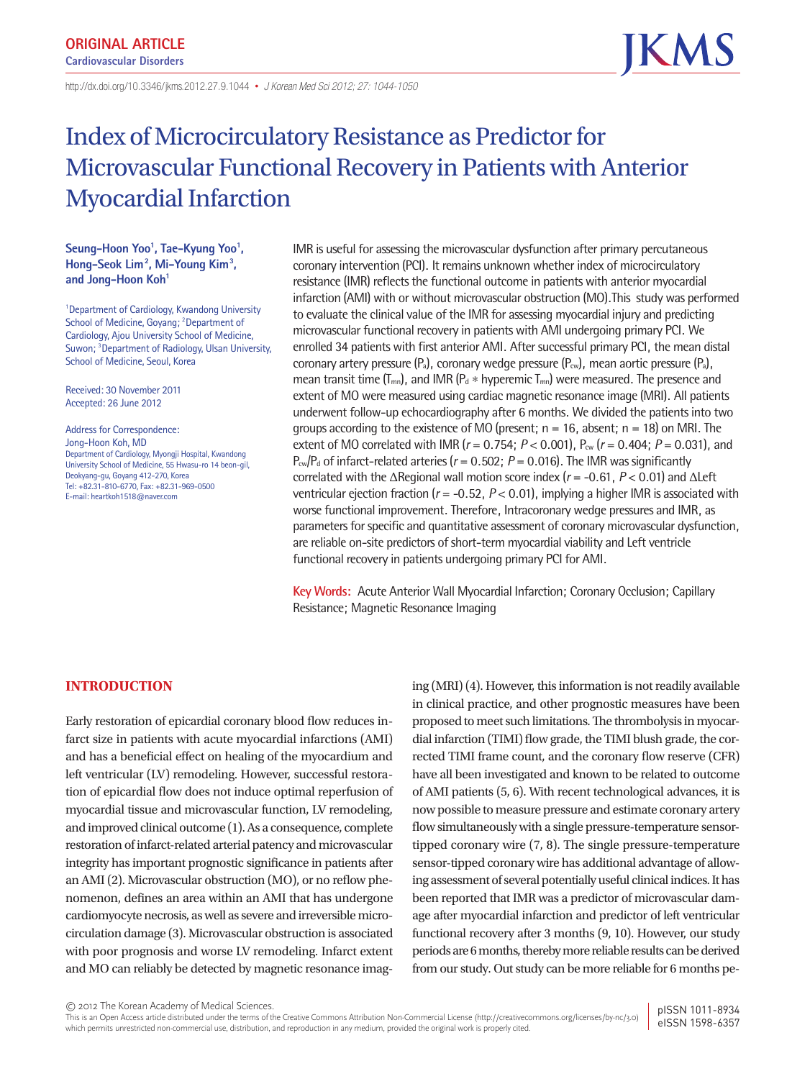http://dx.doi.org/10.3346/ jkms.2012.27.9.1044• *J Korean Med Sci 2012; 27: 1044-1050*

# Index of Microcirculatory Resistance as Predictor for Microvascular Functional Recovery in Patients with Anterior Myocardial Infarction

# Seung–Hoon Yoo<sup>1</sup>, Tae–Kyung Yoo<sup>1</sup>, **Hong-Seok Lim2 , Mi-Young Kim3 ,**  and Jong-Hoon Koh<sup>1</sup>

1 Department of Cardiology, Kwandong University School of Medicine, Goyang; <sup>2</sup>Department of Cardiology, Ajou University School of Medicine, Suwon; <sup>3</sup> Department of Radiology, Ulsan University, School of Medicine, Seoul, Korea

Received: 30 November 2011 Accepted: 26 June 2012

Address for Correspondence: Jong-Hoon Koh, MD Department of Cardiology, Myongji Hospital, Kwandong University School of Medicine, 55 Hwasu-ro 14 beon-gil, Deokyang-gu, Goyang 412-270, Korea Tel: +82.31-810-6770, Fax: +82.31-969-0500 E-mail: heartkoh1518@naver.com

IMR is useful for assessing the microvascular dysfunction after primary percutaneous coronary intervention (PCI). It remains unknown whether index of microcirculatory resistance (IMR) reflects the functional outcome in patients with anterior myocardial infarction (AMI) with or without microvascular obstruction (MO).This study was performed to evaluate the clinical value of the IMR for assessing myocardial injury and predicting microvascular functional recovery in patients with AMI undergoing primary PCI. We enrolled 34 patients with first anterior AMI. After successful primary PCI, the mean distal coronary artery pressure  $(P_a)$ , coronary wedge pressure  $(P_{cw})$ , mean aortic pressure  $(P_a)$ , mean transit time  $(T_{mn})$ , and IMR  $(P_d * hyperemic T_{mn})$  were measured. The presence and extent of MO were measured using cardiac magnetic resonance image (MRI). All patients underwent follow-up echocardiography after 6 months. We divided the patients into two groups according to the existence of MO (present;  $n = 16$ , absent;  $n = 18$ ) on MRI. The extent of MO correlated with IMR ( $r = 0.754$ ;  $P < 0.001$ ),  $P_{cw}$  ( $r = 0.404$ ;  $P = 0.031$ ), and  $P_{cw}/P_d$  of infarct-related arteries ( $r = 0.502$ ;  $P = 0.016$ ). The IMR was significantly correlated with the ΔRegional wall motion score index (*r* = -0.61, *P* < 0.01) and ΔLeft ventricular ejection fraction (*r* = -0.52, *P* < 0.01), implying a higher IMR is associated with worse functional improvement. Therefore, Intracoronary wedge pressures and IMR, as parameters for specific and quantitative assessment of coronary microvascular dysfunction, are reliable on-site predictors of short-term myocardial viability and Left ventricle functional recovery in patients undergoing primary PCI for AMI.

**Key Words:** Acute Anterior Wall Myocardial Infarction; Coronary Occlusion; Capillary Resistance; Magnetic Resonance Imaging

# **INTRODUCTION**

Early restoration of epicardial coronary blood flow reduces infarct size in patients with acute myocardial infarctions (AMI) and has a beneficial effect on healing of the myocardium and left ventricular (LV) remodeling. However, successful restoration of epicardial flow does not induce optimal reperfusion of myocardial tissue and microvascular function, LV remodeling, and improved clinical outcome (1). As a consequence, complete restoration of infarct-related arterial patency and microvascular integrity has important prognostic significance in patients after an AMI (2). Microvascular obstruction (MO), or no reflow phenomenon, defines an area within an AMI that has undergone cardiomyocyte necrosis, as well as severe and irreversible microcirculation damage (3). Microvascular obstruction is associated with poor prognosis and worse LV remodeling. Infarct extent and MO can reliably be detected by magnetic resonance imag-

ing (MRI) (4). However, this information is not readily available in clinical practice, and other prognostic measures have been proposed to meet such limitations. The thrombolysis in myocardial infarction (TIMI) flow grade, the TIMI blush grade, the corrected TIMI frame count, and the coronary flow reserve (CFR) have all been investigated and known to be related to outcome of AMI patients (5, 6). With recent technological advances, it is now possible to measure pressure and estimate coronary artery flow simultaneously with a single pressure-temperature sensortipped coronary wire (7, 8). The single pressure-temperature sensor-tipped coronary wire has additional advantage of allowing assessment of several potentially useful clinical indices. It has been reported that IMR was a predictor of microvascular damage after myocardial infarction and predictor of left ventricular functional recovery after 3 months (9, 10). However, our study periods are 6 months, thereby more reliable results can be derived from our study. Out study can be more reliable for 6 months pe-

This is an Open Access article distributed under the terms of the Creative Commons Attribution Non-Commercial License (http://creativecommons.org/licenses/by-nc/3.0) which permits unrestricted non-commercial use, distribution, and reproduction in any medium, provided the original work is properly cited. pISSN 1011-8934 eISSN 1598-6357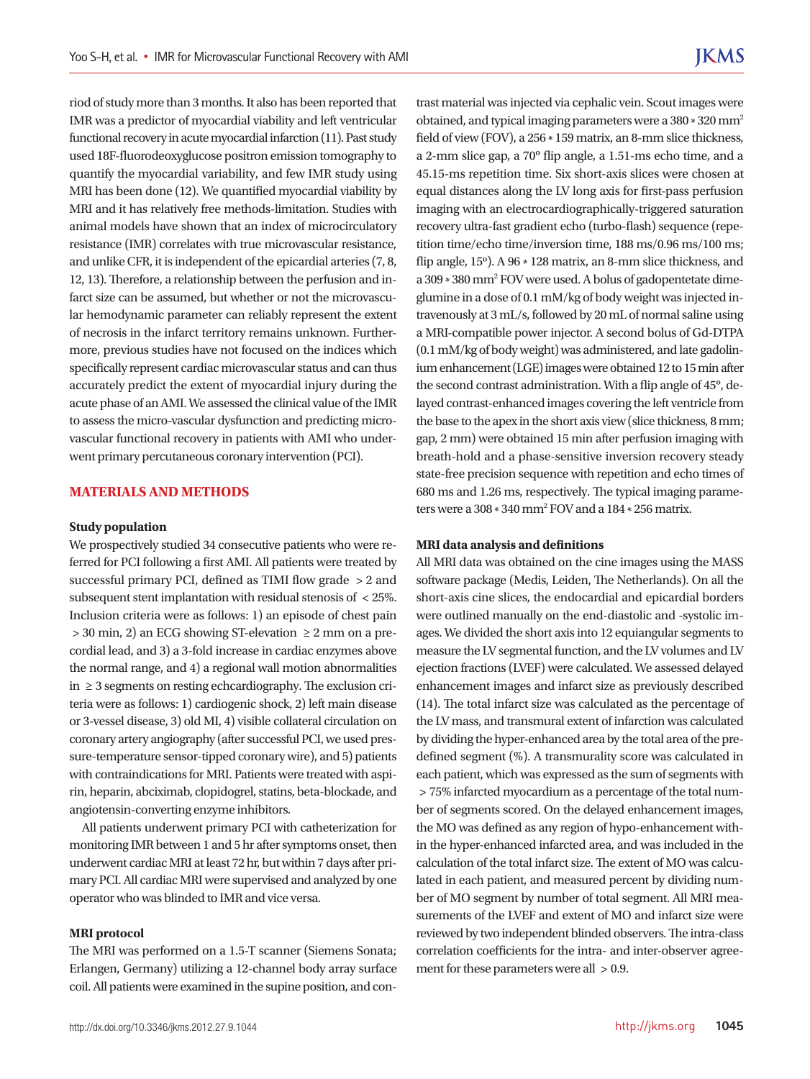riod of study more than 3 months. It also has been reported that IMR was a predictor of myocardial viability and left ventricular functional recovery in acute myocardial infarction (11). Past study used 18F-fluorodeoxyglucose positron emission tomography to quantify the myocardial variability, and few IMR study using MRI has been done (12). We quantified myocardial viability by MRI and it has relatively free methods-limitation. Studies with animal models have shown that an index of microcirculatory resistance (IMR) correlates with true microvascular resistance, and unlike CFR, it is independent of the epicardial arteries (7, 8, 12, 13). Therefore, a relationship between the perfusion and infarct size can be assumed, but whether or not the microvascular hemodynamic parameter can reliably represent the extent of necrosis in the infarct territory remains unknown. Furthermore, previous studies have not focused on the indices which specifically represent cardiac microvascular status and can thus accurately predict the extent of myocardial injury during the acute phase of an AMI. We assessed the clinical value of the IMR to assess the micro-vascular dysfunction and predicting microvascular functional recovery in patients with AMI who underwent primary percutaneous coronary intervention (PCI).

# **MATERIALS AND METHODS**

#### **Study population**

We prospectively studied 34 consecutive patients who were referred for PCI following a first AMI. All patients were treated by successful primary PCI, defined as TIMI flow grade > 2 and subsequent stent implantation with residual stenosis of < 25%. Inclusion criteria were as follows: 1) an episode of chest pain > 30 min, 2) an ECG showing ST-elevation ≥ 2 mm on a precordial lead, and 3) a 3-fold increase in cardiac enzymes above the normal range, and 4) a regional wall motion abnormalities in ≥ 3 segments on resting echcardiography. The exclusion criteria were as follows: 1) cardiogenic shock, 2) left main disease or 3-vessel disease, 3) old MI, 4) visible collateral circulation on coronary artery angiography (after successful PCI, we used pressure-temperature sensor-tipped coronary wire), and 5) patients with contraindications for MRI. Patients were treated with aspirin, heparin, abciximab, clopidogrel, statins, beta-blockade, and angiotensin-converting enzyme inhibitors.

All patients underwent primary PCI with catheterization for monitoring IMR between 1 and 5 hr after symptoms onset, then underwent cardiac MRI at least 72 hr, but within 7 days after primary PCI. All cardiac MRI were supervised and analyzed by one operator who was blinded to IMR and vice versa.

## **MRI protocol**

The MRI was performed on a 1.5-T scanner (Siemens Sonata; Erlangen, Germany) utilizing a 12-channel body array surface coil. All patients were examined in the supine position, and contrast material was injected via cephalic vein. Scout images were obtained, and typical imaging parameters were a 380 \* 320 mm2 field of view (FOV), a 256 \* 159 matrix, an 8-mm slice thickness, a 2-mm slice gap, a 70º flip angle, a 1.51-ms echo time, and a 45.15-ms repetition time. Six short-axis slices were chosen at equal distances along the LV long axis for first-pass perfusion imaging with an electrocardiographically-triggered saturation recovery ultra-fast gradient echo (turbo-flash) sequence (repetition time/echo time/inversion time, 188 ms/0.96 ms/100 ms; flip angle, 15º). A 96 \* 128 matrix, an 8-mm slice thickness, and a 309 \* 380 mm2 FOV were used. A bolus of gadopentetate dimeglumine in a dose of 0.1 mM/kg of body weight was injected intravenously at 3 mL/s, followed by 20 mL of normal saline using a MRI-compatible power injector. A second bolus of Gd-DTPA (0.1 mM/kg of body weight) was administered, and late gadolinium enhancement (LGE) images were obtained 12 to 15 min after the second contrast administration. With a flip angle of 45º, delayed contrast-enhanced images covering the left ventricle from the base to the apex in the short axis view (slice thickness, 8 mm; gap, 2 mm) were obtained 15 min after perfusion imaging with breath-hold and a phase-sensitive inversion recovery steady state-free precision sequence with repetition and echo times of 680 ms and 1.26 ms, respectively. The typical imaging parameters were a 308 \* 340 mm2 FOV and a 184 \* 256 matrix.

#### **MRI data analysis and definitions**

All MRI data was obtained on the cine images using the MASS software package (Medis, Leiden, The Netherlands). On all the short-axis cine slices, the endocardial and epicardial borders were outlined manually on the end-diastolic and -systolic images. We divided the short axis into 12 equiangular segments to measure the LV segmental function, and the LV volumes and LV ejection fractions (LVEF) were calculated. We assessed delayed enhancement images and infarct size as previously described (14). The total infarct size was calculated as the percentage of the LV mass, and transmural extent of infarction was calculated by dividing the hyper-enhanced area by the total area of the predefined segment (%). A transmurality score was calculated in each patient, which was expressed as the sum of segments with > 75% infarcted myocardium as a percentage of the total number of segments scored. On the delayed enhancement images, the MO was defined as any region of hypo-enhancement within the hyper-enhanced infarcted area, and was included in the calculation of the total infarct size. The extent of MO was calculated in each patient, and measured percent by dividing number of MO segment by number of total segment. All MRI measurements of the LVEF and extent of MO and infarct size were reviewed by two independent blinded observers. The intra-class correlation coefficients for the intra- and inter-observer agreement for these parameters were all  $> 0.9$ .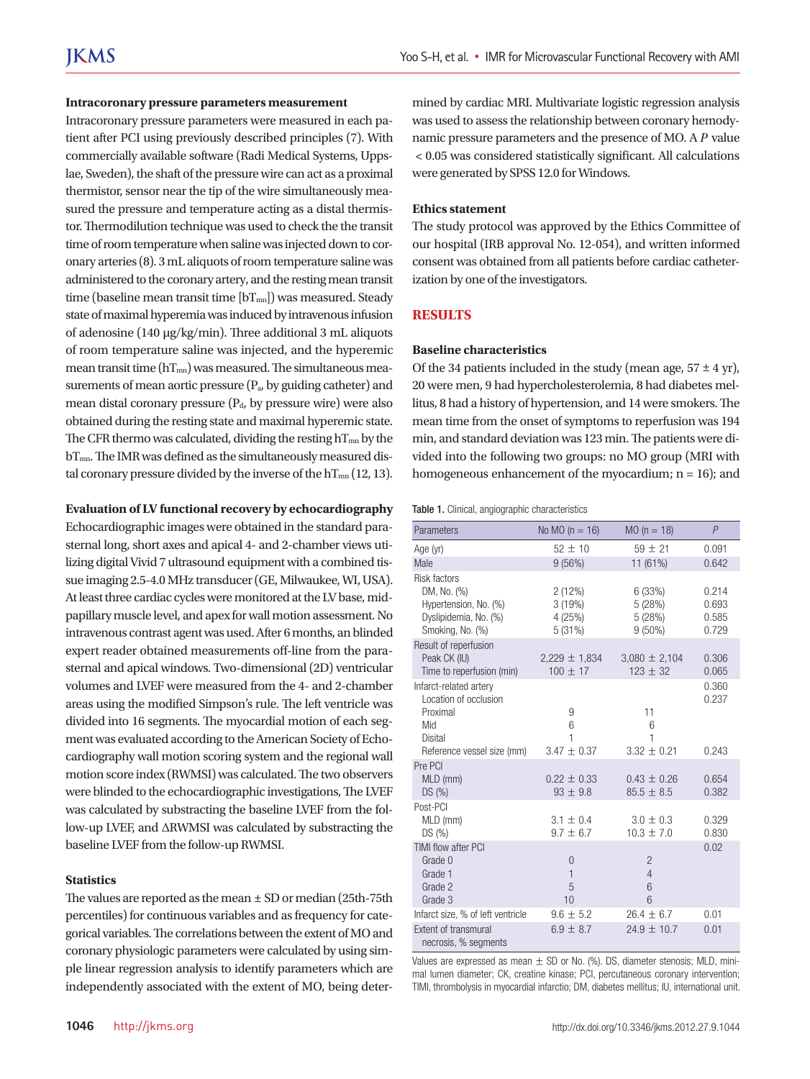#### **Intracoronary pressure parameters measurement**

Intracoronary pressure parameters were measured in each patient after PCI using previously described principles (7). With commercially available software (Radi Medical Systems, Uppslae, Sweden), the shaft of the pressure wire can act as a proximal thermistor, sensor near the tip of the wire simultaneously measured the pressure and temperature acting as a distal thermistor. Thermodilution technique was used to check the the transit time of room temperature when saline was injected down to coronary arteries (8). 3 mL aliquots of room temperature saline was administered to the coronary artery, and the resting mean transit time (baseline mean transit time  $[bT_{mn}]$ ) was measured. Steady state of maximal hyperemia was induced by intravenous infusion of adenosine (140 µg/kg/min). Three additional 3 mL aliquots of room temperature saline was injected, and the hyperemic mean transit time  $(hT_{mn})$  was measured. The simultaneous measurements of mean aortic pressure (Pa, by guiding catheter) and mean distal coronary pressure (Pd, by pressure wire) were also obtained during the resting state and maximal hyperemic state. The CFR thermo was calculated, dividing the resting  $hT_{mn}$  by the bT<sub>mn</sub>. The IMR was defined as the simultaneously measured distal coronary pressure divided by the inverse of the  $hT_{mn}$  (12, 13).

#### **Evaluation of LV functional recovery by echocardiography**

Echocardiographic images were obtained in the standard parasternal long, short axes and apical 4- and 2-chamber views utilizing digital Vivid 7 ultrasound equipment with a combined tissue imaging 2.5-4.0 MHz transducer (GE, Milwaukee, WI, USA). At least three cardiac cycles were monitored at the LV base, midpapillary muscle level, and apex for wall motion assessment. No intravenous contrast agent was used. After 6 months, an blinded expert reader obtained measurements off-line from the parasternal and apical windows. Two-dimensional (2D) ventricular volumes and LVEF were measured from the 4- and 2-chamber areas using the modified Simpson's rule. The left ventricle was divided into 16 segments. The myocardial motion of each segment was evaluated according to the American Society of Echocardiography wall motion scoring system and the regional wall motion score index (RWMSI) was calculated. The two observers were blinded to the echocardiographic investigations, The LVEF was calculated by substracting the baseline LVEF from the follow-up LVEF, and ΔRWMSI was calculated by substracting the baseline LVEF from the follow-up RWMSI.

## **Statistics**

The values are reported as the mean  $\pm$  SD or median (25th-75th percentiles) for continuous variables and as frequency for categorical variables. The correlations between the extent of MO and coronary physiologic parameters were calculated by using simple linear regression analysis to identify parameters which are independently associated with the extent of MO, being determined by cardiac MRI. Multivariate logistic regression analysis was used to assess the relationship between coronary hemodynamic pressure parameters and the presence of MO. A *P* value < 0.05 was considered statistically significant. All calculations were generated by SPSS 12.0 for Windows.

## **Ethics statement**

The study protocol was approved by the Ethics Committee of our hospital (IRB approval No. 12-054), and written informed consent was obtained from all patients before cardiac catheterization by one of the investigators.

## **RESULTS**

#### **Baseline characteristics**

Of the 34 patients included in the study (mean age,  $57 \pm 4$  yr), 20 were men, 9 had hypercholesterolemia, 8 had diabetes mellitus, 8 had a history of hypertension, and 14 were smokers. The mean time from the onset of symptoms to reperfusion was 194 min, and standard deviation was 123 min. The patients were divided into the following two groups: no MO group (MRI with homogeneous enhancement of the myocardium;  $n = 16$ ); and

|  |  |  |  | Table 1. Clinical, angiographic characteristics |
|--|--|--|--|-------------------------------------------------|
|--|--|--|--|-------------------------------------------------|

| Parameters                                                         | No MO $(n = 16)$                          | $MO (n = 18)$                              | P              |
|--------------------------------------------------------------------|-------------------------------------------|--------------------------------------------|----------------|
| Age (yr)                                                           | $52 \pm 10$                               | $59 + 21$                                  | 0.091          |
| Male                                                               | 9(56%)                                    | 11 (61%)                                   | 0.642          |
| Risk factors                                                       |                                           |                                            |                |
| DM, No. (%)<br>Hypertension, No. (%)                               | 2(12%)<br>3(19%)                          | 6 (33%)<br>5 (28%)                         | 0.214<br>0.693 |
| Dyslipidemia, No. (%)<br>Smoking, No. (%)                          | 4(25%)<br>5(31%)                          | 5(28%)<br>$9(50\%)$                        | 0.585<br>0.729 |
| Result of reperfusion<br>Peak CK (IU)<br>Time to reperfusion (min) | $2,229 \pm 1,834$<br>$100 \pm 17$         | $3,080 \pm 2,104$<br>$123 \pm 32$          | 0.306<br>0.065 |
| Infarct-related artery<br>Location of occlusion<br>Proximal<br>Mid | 9<br>6                                    | 11<br>6                                    | 0.360<br>0.237 |
| Disital<br>Reference vessel size (mm)                              | 1<br>$3.47 \pm 0.37$                      | 1<br>$3.32 \pm 0.21$                       | 0.243          |
| Pre PCI<br>MLD (mm)<br>DS(%)                                       | $0.22 \pm 0.33$<br>$93 \pm 9.8$           | $0.43 \pm 0.26$<br>$85.5 \pm 8.5$          | 0.654<br>0.382 |
| Post-PCI                                                           |                                           |                                            |                |
| MLD (mm)<br>DS(%)                                                  | $3.1 + 0.4$<br>$9.7 \pm 6.7$              | $3.0 + 0.3$<br>$10.3 \pm 7.0$              | 0.329<br>0.830 |
| TIMI flow after PCI<br>Grade 0<br>Grade 1<br>Grade 2<br>Grade 3    | $\overline{0}$<br>$\mathbf{1}$<br>5<br>10 | $\overline{2}$<br>$\overline{4}$<br>6<br>6 | 0.02           |
| Infarct size, % of left ventricle                                  | $9.6 \pm 5.2$                             | $26.4 \pm 6.7$                             | 0.01           |
| Extent of transmural<br>necrosis, % segments                       | $6.9 \pm 8.7$                             | $24.9 + 10.7$                              | 0.01           |

Values are expressed as mean  $\pm$  SD or No. (%). DS, diameter stenosis; MLD, minimal lumen diameter; CK, creatine kinase; PCI, percutaneous coronary intervention; TIMI, thrombolysis in myocardial infarctio; DM, diabetes mellitus; IU, international unit.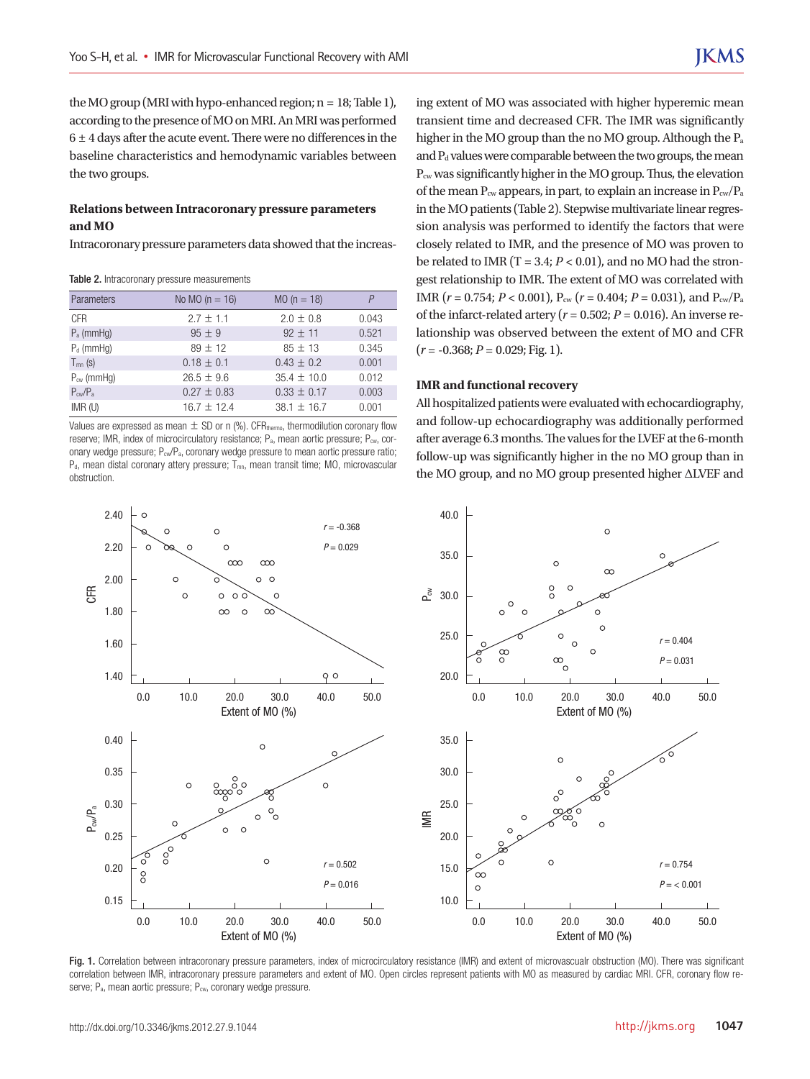the MO group (MRI with hypo-enhanced region;  $n = 18$ ; Table 1), according to the presence of MO on MRI. An MRI was performed  $6 \pm 4$  days after the acute event. There were no differences in the baseline characteristics and hemodynamic variables between the two groups.

## **Relations between Intracoronary pressure parameters and MO**

Intracoronary pressure parameters data showed that the increas-

Table 2. Intracoronary pressure measurements

| Parameters                   | No MO $(n = 16)$ | $MO (n = 18)$   | P     |
|------------------------------|------------------|-----------------|-------|
| <b>CFR</b>                   | $2.7 \pm 1.1$    | $2.0 \pm 0.8$   | 0.043 |
| $P_a$ (mmHg)                 | $95 + 9$         | $92 \pm 11$     | 0.521 |
| $P_d$ (mmHg)                 | $89 + 12$        | $85 + 13$       | 0.345 |
| $T_{mn}$ (s)                 | $0.18 \pm 0.1$   | $0.43 \pm 0.2$  | 0.001 |
| $P_{cw}$ (mmHq)              | $26.5 + 9.6$     | $35.4 + 10.0$   | 0.012 |
| $P_{\text{cw}}/P_{\text{a}}$ | $0.27 + 0.83$    | $0.33 \pm 0.17$ | 0.003 |
| $IMR$ (U)                    | $16.7 \pm 12.4$  | $38.1 \pm 16.7$ | 0.001 |

Values are expressed as mean  $\pm$  SD or n (%). CFR<sub>thermo</sub>, thermodilution coronary flow reserve; IMR, index of microcirculatory resistance;  $P_a$ , mean aortic pressure;  $P_{\text{cw}}$ , coronary wedge pressure; P<sub>cw</sub>/P<sub>a</sub>, coronary wedge pressure to mean aortic pressure ratio;  $P_d$ , mean distal coronary attery pressure;  $T_{mn}$ , mean transit time; MO, microvascular obstruction.

ing extent of MO was associated with higher hyperemic mean transient time and decreased CFR. The IMR was significantly higher in the MO group than the no MO group. Although the Pa and  $P_d$  values were comparable between the two groups, the mean Pcw was significantly higher in the MO group. Thus, the elevation of the mean  $P_{cw}$  appears, in part, to explain an increase in  $P_{cw}/P_a$ in the MO patients (Table 2). Stepwise multivariate linear regression analysis was performed to identify the factors that were closely related to IMR, and the presence of MO was proven to be related to IMR  $(T = 3.4; P < 0.01)$ , and no MO had the strongest relationship to IMR. The extent of MO was correlated with IMR ( $r = 0.754$ ;  $P < 0.001$ ),  $P_{cw}$  ( $r = 0.404$ ;  $P = 0.031$ ), and  $P_{cw}/P_a$ of the infarct-related artery ( $r = 0.502$ ;  $P = 0.016$ ). An inverse relationship was observed between the extent of MO and CFR (*r* = -0.368; *P* = 0.029; Fig. 1).

# **IMR and functional recovery**

All hospitalized patients were evaluated with echocardiography, and follow-up echocardiography was additionally performed after average 6.3 months. The values for the LVEF at the 6-month follow-up was significantly higher in the no MO group than in the MO group, and no MO group presented higher ΔLVEF and



Fig. 1. Correlation between intracoronary pressure parameters, index of microcirculatory resistance (IMR) and extent of microvascualr obstruction (MO). There was significant correlation between IMR, intracoronary pressure parameters and extent of MO. Open circles represent patients with MO as measured by cardiac MRI. CFR, coronary flow re-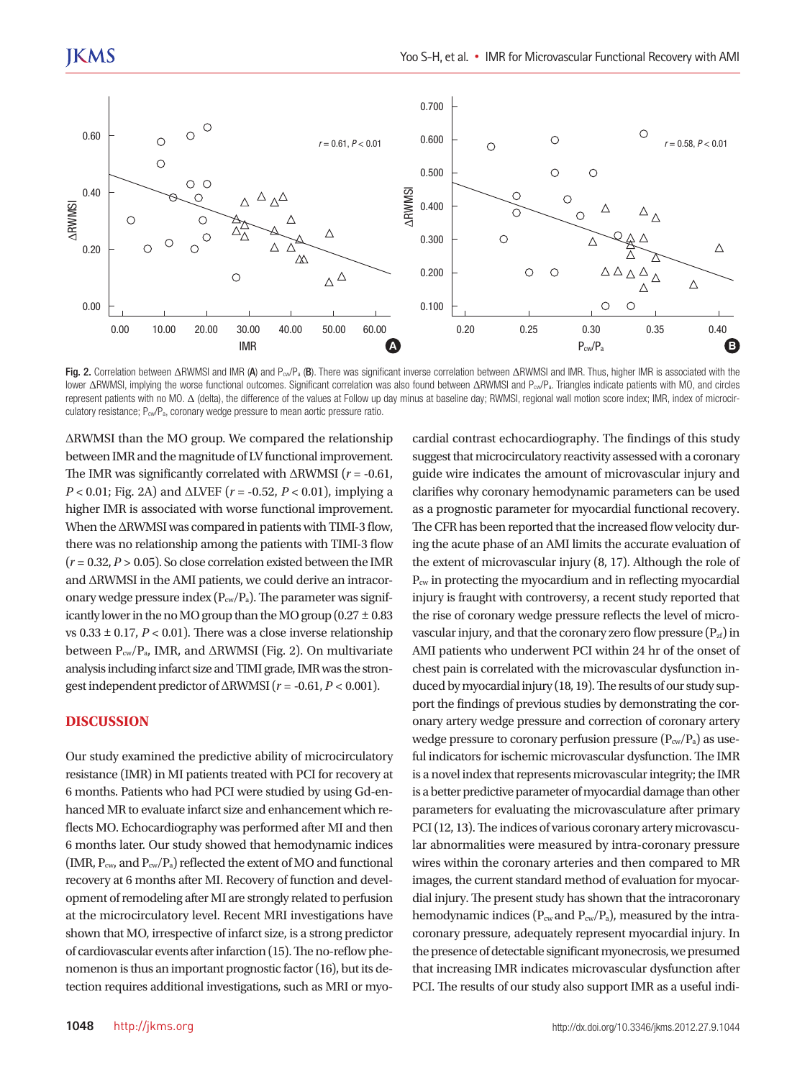

Fig. 2. Correlation between ΔRWMSI and IMR (A) and P<sub>cw</sub>/P<sub>a</sub> (B). There was significant inverse correlation between ΔRWMSI and IMR. Thus, higher IMR is associated with the lower ΔRWMSI, implying the worse functional outcomes. Significant correlation was also found between ΔRWMSI and P<sub>cw</sub>/P<sub>a</sub>. Triangles indicate patients with MO, and circles represent patients with no MO. Δ (delta), the difference of the values at Follow up day minus at baseline day; RWMSI, regional wall motion score index; IMR, index of microcirculatory resistance; P<sub>cw</sub>/P<sub>a</sub>, coronary wedge pressure to mean aortic pressure ratio.

ΔRWMSI than the MO group. We compared the relationship between IMR and the magnitude of LV functional improvement. The IMR was significantly correlated with ΔRWMSI (*r* = -0.61, *P* < 0.01; Fig. 2A) and ΔLVEF (*r* = -0.52, *P* < 0.01), implying a higher IMR is associated with worse functional improvement. When the ΔRWMSI was compared in patients with TIMI-3 flow, there was no relationship among the patients with TIMI-3 flow  $(r = 0.32, P > 0.05)$ . So close correlation existed between the IMR and ΔRWMSI in the AMI patients, we could derive an intracoronary wedge pressure index  $(P_{cw}/P_a)$ . The parameter was significantly lower in the no MO group than the MO group  $(0.27 \pm 0.83)$ vs  $0.33 \pm 0.17$ ,  $P < 0.01$ ). There was a close inverse relationship between  $P_{cw}/P_a$ , IMR, and  $\triangle$ RWMSI (Fig. 2). On multivariate analysis including infarct size and TIMI grade, IMR was the strongest independent predictor of  $\triangle$ RWMSI ( $r = -0.61, P < 0.001$ ).

## **DISCUSSION**

Our study examined the predictive ability of microcirculatory resistance (IMR) in MI patients treated with PCI for recovery at 6 months. Patients who had PCI were studied by using Gd-enhanced MR to evaluate infarct size and enhancement which reflects MO. Echocardiography was performed after MI and then 6 months later. Our study showed that hemodynamic indices (IMR,  $P_{\text{cw}}$ , and  $P_{\text{cw}}/P_a$ ) reflected the extent of MO and functional recovery at 6 months after MI. Recovery of function and development of remodeling after MI are strongly related to perfusion at the microcirculatory level. Recent MRI investigations have shown that MO, irrespective of infarct size, is a strong predictor of cardiovascular events after infarction (15). The no-reflow phenomenon is thus an important prognostic factor (16), but its detection requires additional investigations, such as MRI or myo-

guide wire indicates the amount of microvascular injury and clarifies why coronary hemodynamic parameters can be used as a prognostic parameter for myocardial functional recovery. The CFR has been reported that the increased flow velocity during the acute phase of an AMI limits the accurate evaluation of the extent of microvascular injury (8, 17). Although the role of Pcw in protecting the myocardium and in reflecting myocardial injury is fraught with controversy, a recent study reported that the rise of coronary wedge pressure reflects the level of microvascular injury, and that the coronary zero flow pressure  $(P_{\alpha})$  in AMI patients who underwent PCI within 24 hr of the onset of chest pain is correlated with the microvascular dysfunction induced by myocardial injury (18, 19). The results of our study support the findings of previous studies by demonstrating the coronary artery wedge pressure and correction of coronary artery wedge pressure to coronary perfusion pressure  $(P_{cw}/P_a)$  as useful indicators for ischemic microvascular dysfunction. The IMR is a novel index that represents microvascular integrity; the IMR is a better predictive parameter of myocardial damage than other parameters for evaluating the microvasculature after primary PCI (12, 13). The indices of various coronary artery microvascular abnormalities were measured by intra-coronary pressure wires within the coronary arteries and then compared to MR images, the current standard method of evaluation for myocardial injury. The present study has shown that the intracoronary hemodynamic indices ( $P_{cw}$  and  $P_{cw}/P_a$ ), measured by the intracoronary pressure, adequately represent myocardial injury. In the presence of detectable significant myonecrosis, we presumed that increasing IMR indicates microvascular dysfunction after PCI. The results of our study also support IMR as a useful indi-

cardial contrast echocardiography. The findings of this study suggest that microcirculatory reactivity assessed with a coronary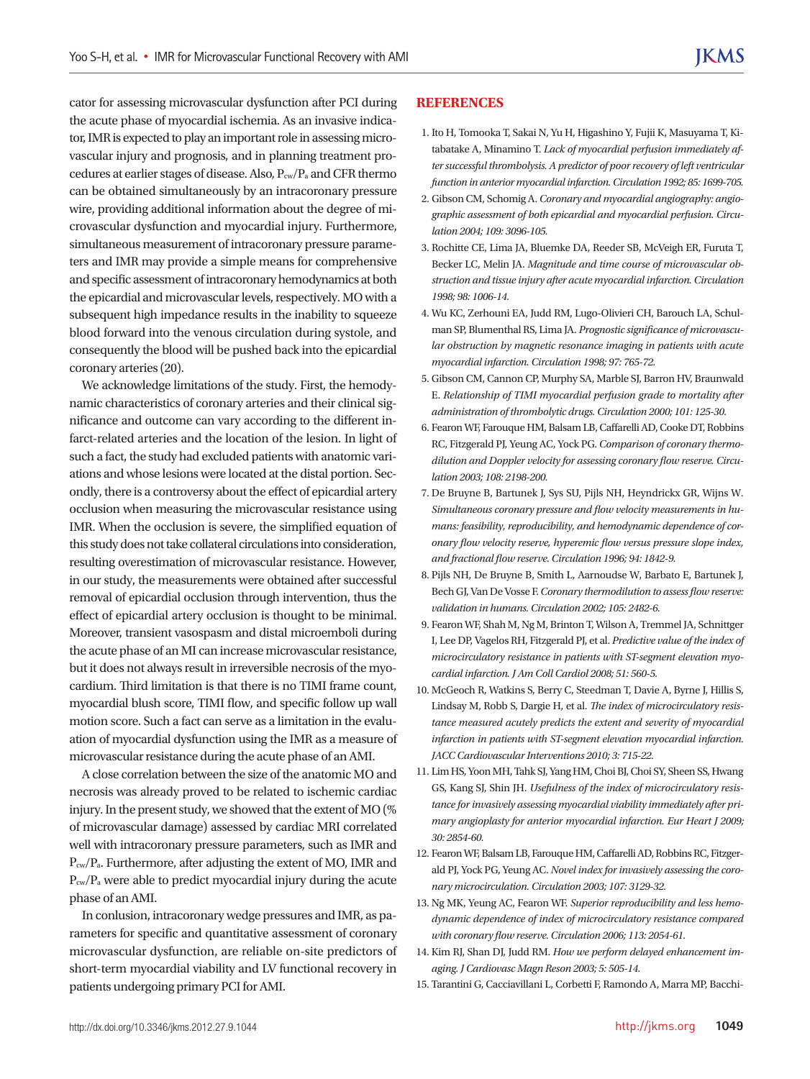cator for assessing microvascular dysfunction after PCI during the acute phase of myocardial ischemia. As an invasive indicator, IMR is expected to play an important role in assessing microvascular injury and prognosis, and in planning treatment procedures at earlier stages of disease. Also, Pcw/Pa and CFR thermo can be obtained simultaneously by an intracoronary pressure wire, providing additional information about the degree of microvascular dysfunction and myocardial injury. Furthermore, simultaneous measurement of intracoronary pressure parameters and IMR may provide a simple means for comprehensive and specific assessment of intracoronary hemodynamics at both the epicardial and microvascular levels, respectively. MO with a subsequent high impedance results in the inability to squeeze blood forward into the venous circulation during systole, and consequently the blood will be pushed back into the epicardial coronary arteries (20).

We acknowledge limitations of the study. First, the hemodynamic characteristics of coronary arteries and their clinical significance and outcome can vary according to the different infarct-related arteries and the location of the lesion. In light of such a fact, the study had excluded patients with anatomic variations and whose lesions were located at the distal portion. Secondly, there is a controversy about the effect of epicardial artery occlusion when measuring the microvascular resistance using IMR. When the occlusion is severe, the simplified equation of this study does not take collateral circulations into consideration, resulting overestimation of microvascular resistance. However, in our study, the measurements were obtained after successful removal of epicardial occlusion through intervention, thus the effect of epicardial artery occlusion is thought to be minimal. Moreover, transient vasospasm and distal microemboli during the acute phase of an MI can increase microvascular resistance, but it does not always result in irreversible necrosis of the myocardium. Third limitation is that there is no TIMI frame count, myocardial blush score, TIMI flow, and specific follow up wall motion score. Such a fact can serve as a limitation in the evaluation of myocardial dysfunction using the IMR as a measure of microvascular resistance during the acute phase of an AMI.

A close correlation between the size of the anatomic MO and necrosis was already proved to be related to ischemic cardiac injury. In the present study, we showed that the extent of MO (% of microvascular damage) assessed by cardiac MRI correlated well with intracoronary pressure parameters, such as IMR and Pcw/Pa. Furthermore, after adjusting the extent of MO, IMR and Pcw/Pa were able to predict myocardial injury during the acute phase of an AMI.

In conlusion, intracoronary wedge pressures and IMR, as parameters for specific and quantitative assessment of coronary microvascular dysfunction, are reliable on-site predictors of short-term myocardial viability and LV functional recovery in patients undergoing primary PCI for AMI.

#### **REFERENCES**

- 1. Ito H, Tomooka T, Sakai N, Yu H, Higashino Y, Fujii K, Masuyama T, Kitabatake A, Minamino T. *Lack of myocardial perfusion immediately after successful thrombolysis. A predictor of poor recovery of left ventricular function in anterior myocardial infarction. Circulation 1992; 85: 1699-705.*
- 2. Gibson CM, Schomig A. *Coronary and myocardial angiography: angiographic assessment of both epicardial and myocardial perfusion. Circulation 2004; 109: 3096-105.*
- 3. Rochitte CE, Lima JA, Bluemke DA, Reeder SB, McVeigh ER, Furuta T, Becker LC, Melin JA. *Magnitude and time course of microvascular obstruction and tissue injury after acute myocardial infarction. Circulation 1998; 98: 1006-14.*
- 4. Wu KC, Zerhouni EA, Judd RM, Lugo-Olivieri CH, Barouch LA, Schulman SP, Blumenthal RS, Lima JA. *Prognostic significance of microvascular obstruction by magnetic resonance imaging in patients with acute myocardial infarction. Circulation 1998; 97: 765-72.*
- 5. Gibson CM, Cannon CP, Murphy SA, Marble SJ, Barron HV, Braunwald E. *Relationship of TIMI myocardial perfusion grade to mortality after administration of thrombolytic drugs. Circulation 2000; 101: 125-30.*
- 6. Fearon WF, Farouque HM, Balsam LB, Caffarelli AD, Cooke DT, Robbins RC, Fitzgerald PJ, Yeung AC, Yock PG. *Comparison of coronary thermodilution and Doppler velocity for assessing coronary flow reserve. Circulation 2003; 108: 2198-200.*
- 7. De Bruyne B, Bartunek J, Sys SU, Pijls NH, Heyndrickx GR, Wijns W. *Simultaneous coronary pressure and flow velocity measurements in humans: feasibility, reproducibility, and hemodynamic dependence of coronary flow velocity reserve, hyperemic flow versus pressure slope index, and fractional flow reserve. Circulation 1996; 94: 1842-9.*
- 8. Pijls NH, De Bruyne B, Smith L, Aarnoudse W, Barbato E, Bartunek J, Bech GJ, Van De Vosse F. *Coronary thermodilution to assess flow reserve: validation in humans. Circulation 2002; 105: 2482-6.*
- 9. Fearon WF, Shah M, Ng M, Brinton T, Wilson A, Tremmel JA, Schnittger I, Lee DP, Vagelos RH, Fitzgerald PJ, et al. *Predictive value of the index of microcirculatory resistance in patients with ST-segment elevation myocardial infarction. J Am Coll Cardiol 2008; 51: 560-5.*
- 10. McGeoch R, Watkins S, Berry C, Steedman T, Davie A, Byrne J, Hillis S, Lindsay M, Robb S, Dargie H, et al. *The index of microcirculatory resistance measured acutely predicts the extent and severity of myocardial infarction in patients with ST-segment elevation myocardial infarction. JACC Cardiovascular Interventions 2010; 3: 715-22.*
- 11. Lim HS, Yoon MH, Tahk SJ, Yang HM, Choi BJ, Choi SY, Sheen SS, Hwang GS, Kang SJ, Shin JH. *Usefulness of the index of microcirculatory resistance for invasively assessing myocardial viability immediately after primary angioplasty for anterior myocardial infarction. Eur Heart J 2009; 30: 2854-60.*
- 12. Fearon WF, Balsam LB, Farouque HM, Caffarelli AD, Robbins RC, Fitzgerald PJ, Yock PG, Yeung AC. *Novel index for invasively assessing the coronary microcirculation. Circulation 2003; 107: 3129-32.*
- 13. Ng MK, Yeung AC, Fearon WF. *Superior reproducibility and less hemodynamic dependence of index of microcirculatory resistance compared with coronary flow reserve. Circulation 2006; 113: 2054-61.*
- 14. Kim RJ, Shan DJ, Judd RM. *How we perform delayed enhancement imaging. J Cardiovasc Magn Reson 2003; 5: 505-14.*
- 15. Tarantini G, Cacciavillani L, Corbetti F, Ramondo A, Marra MP, Bacchi-